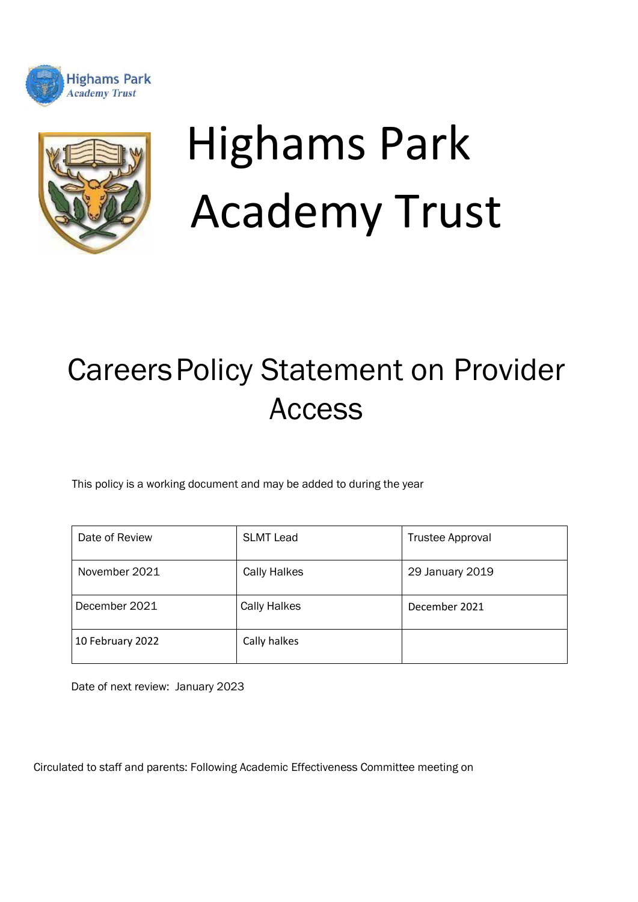



# Highams Park Academy Trust

# CareersPolicy Statement on Provider Access

This policy is a working document and may be added to during the year

| Date of Review   | <b>SLMT Lead</b>    | <b>Trustee Approval</b> |
|------------------|---------------------|-------------------------|
| November 2021    | <b>Cally Halkes</b> | 29 January 2019         |
| December 2021    | <b>Cally Halkes</b> | December 2021           |
| 10 February 2022 | Cally halkes        |                         |

Date of next review: January 2023

Circulated to staff and parents: Following Academic Effectiveness Committee meeting on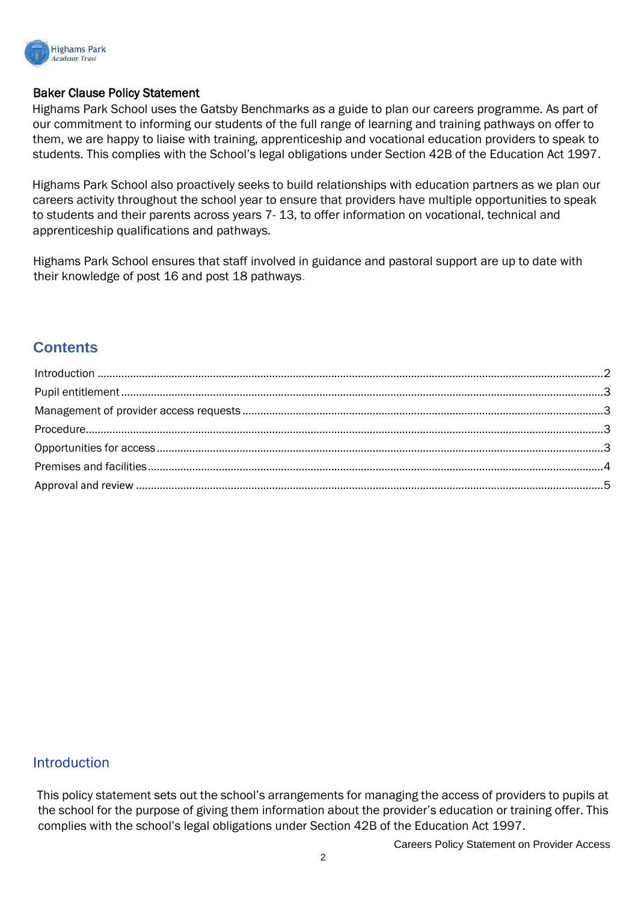

#### Baker Clause Policy Statement

Highams Park School uses the Gatsby Benchmarks as a guide to plan our careers programme. As part of our commitment to informing our students of the full range of learning and training pathways on offer to them, we are happy to liaise with training, apprenticeship and vocational education providers to speak to students. This complies with the School's legal obligations under Section 42B of the Education Act 1997.

Highams Park School also proactively seeks to build relationships with education partners as we plan our careers activity throughout the school year to ensure that providers have multiple opportunities to speak to students and their parents across years 7- 13, to offer information on vocational, technical and apprenticeship qualifications and pathways.

Highams Park School ensures that staff involved in guidance and pastoral support are up to date with their knowledge of post 16 and post 18 pathways.

# **Contents**

#### <span id="page-1-0"></span>**Introduction**

This policy statement sets out the school's arrangements for managing the access of providers to pupils at the school for the purpose of giving them information about the provider's education or training offer. This complies with the school's legal obligations under Section 42B of the Education Act 1997.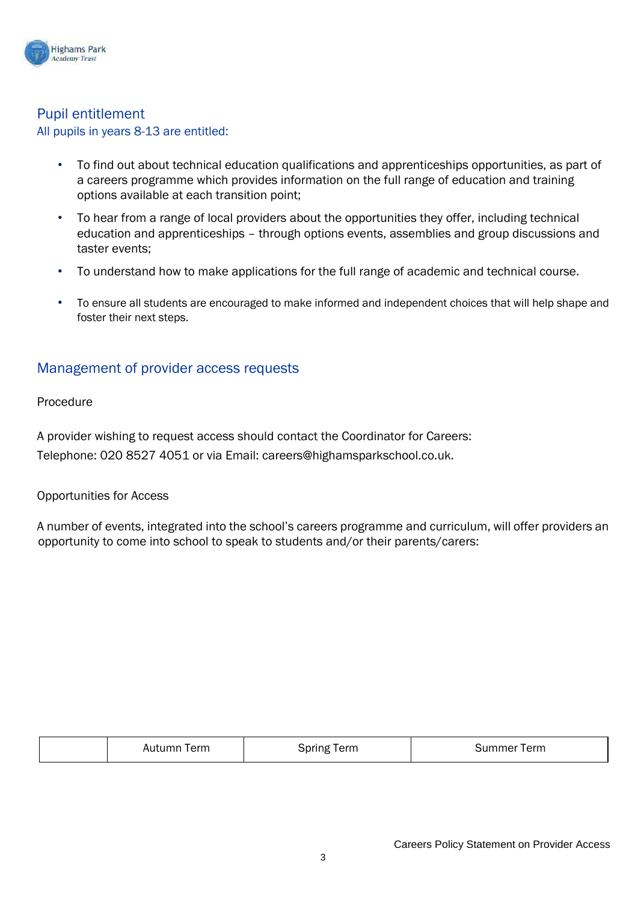

# <span id="page-2-0"></span>Pupil entitlement

All pupils in years 8-13 are entitled:

- To find out about technical education qualifications and apprenticeships opportunities, as part of a careers programme which provides information on the full range of education and training options available at each transition point;
- To hear from a range of local providers about the opportunities they offer, including technical education and apprenticeships – through options events, assemblies and group discussions and taster events;
- To understand how to make applications for the full range of academic and technical course.
- To ensure all students are encouraged to make informed and independent choices that will help shape and foster their next steps.

## <span id="page-2-1"></span>Management of provider access requests

<span id="page-2-2"></span>Procedure

A provider wishing to request access should contact the Coordinator for Careers: Telephone: 020 8527 4051 or via Email: careers@highamsparkschool.co.uk.

#### <span id="page-2-3"></span>Opportunities for Access

A number of events, integrated into the school's careers programme and curriculum, will offer providers an opportunity to come into school to speak to students and/or their parents/carers:

| Term   | 3pring | Summer |
|--------|--------|--------|
| Autumn | Term   | Term   |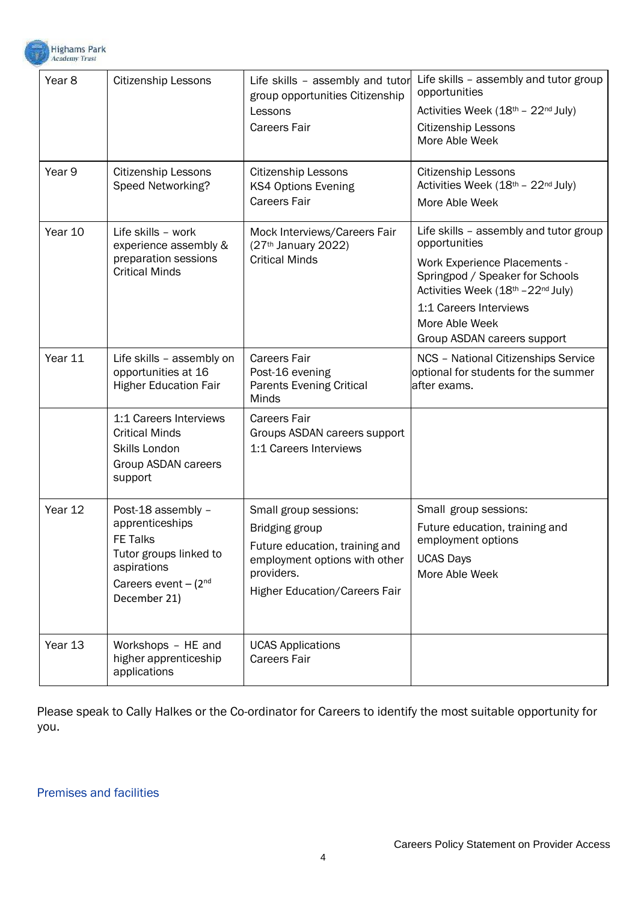

| Year <sub>8</sub> | <b>Citizenship Lessons</b>                                                                                                                    | Life skills - assembly and tutor<br>group opportunities Citizenship<br>Lessons<br><b>Careers Fair</b>                                                                   | Life skills - assembly and tutor group<br>opportunities<br>Activities Week (18th - 22nd July)<br><b>Citizenship Lessons</b><br>More Able Week                                                                                                      |
|-------------------|-----------------------------------------------------------------------------------------------------------------------------------------------|-------------------------------------------------------------------------------------------------------------------------------------------------------------------------|----------------------------------------------------------------------------------------------------------------------------------------------------------------------------------------------------------------------------------------------------|
| Year 9            | Citizenship Lessons<br>Speed Networking?                                                                                                      | Citizenship Lessons<br><b>KS4 Options Evening</b><br><b>Careers Fair</b>                                                                                                | <b>Citizenship Lessons</b><br>Activities Week (18th - 22nd July)<br>More Able Week                                                                                                                                                                 |
| Year 10           | Life skills - work<br>experience assembly &<br>preparation sessions<br><b>Critical Minds</b>                                                  | Mock Interviews/Careers Fair<br>(27th January 2022)<br><b>Critical Minds</b>                                                                                            | Life skills - assembly and tutor group<br>opportunities<br><b>Work Experience Placements -</b><br>Springpod / Speaker for Schools<br>Activities Week (18th - 22nd July)<br>1:1 Careers Interviews<br>More Able Week<br>Group ASDAN careers support |
| Year 11           | Life skills - assembly on<br>opportunities at 16<br><b>Higher Education Fair</b>                                                              | <b>Careers Fair</b><br>Post-16 evening<br><b>Parents Evening Critical</b><br><b>Minds</b>                                                                               | <b>NCS - National Citizenships Service</b><br>optional for students for the summer<br>after exams.                                                                                                                                                 |
|                   | 1:1 Careers Interviews<br><b>Critical Minds</b><br>Skills London<br>Group ASDAN careers<br>support                                            | <b>Careers Fair</b><br>Groups ASDAN careers support<br>1:1 Careers Interviews                                                                                           |                                                                                                                                                                                                                                                    |
| Year 12           | Post-18 assembly -<br>apprenticeships<br><b>FE Talks</b><br>Tutor groups linked to<br>aspirations<br>Careers event $-(2^{nd}$<br>December 21) | Small group sessions:<br><b>Bridging group</b><br>Future education, training and<br>employment options with other<br>providers.<br><b>Higher Education/Careers Fair</b> | Small group sessions:<br>Future education, training and<br>employment options<br><b>UCAS Days</b><br>More Able Week                                                                                                                                |
| Year 13           | Workshops - HE and<br>higher apprenticeship<br>applications                                                                                   | <b>UCAS Applications</b><br><b>Careers Fair</b>                                                                                                                         |                                                                                                                                                                                                                                                    |

Please speak to Cally Halkes or the Co-ordinator for Careers to identify the most suitable opportunity for you.

#### <span id="page-3-0"></span>Premises and facilities